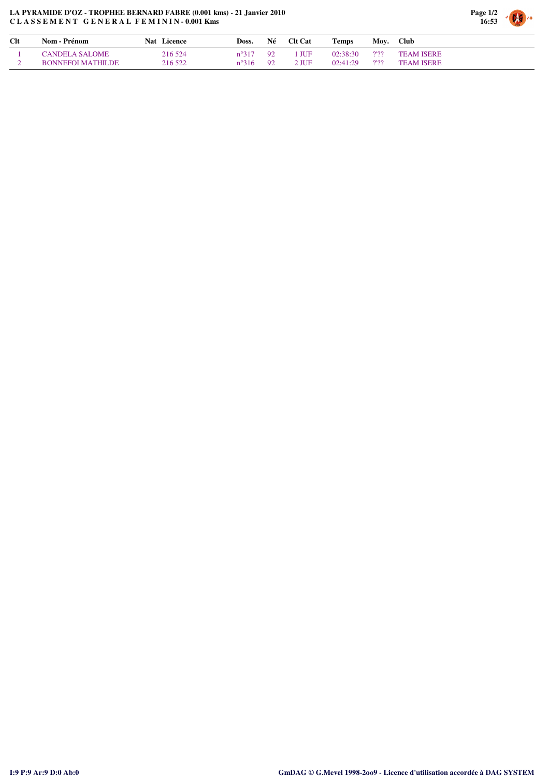## **LA PYRAMIDE D'OZ - TROPHEE BERNARD FABRE (0.001 kms) - 21 Janvier 2010 C L A S S E M E N T G E N E R A L F E M I N I N - 0.001 Kms**



| Clt | Nom - Prénom             | Nat Licence | Doss.          | Né   | <b>Clt Cat</b> | <b>Temps</b> |         | Moy. Club         |
|-----|--------------------------|-------------|----------------|------|----------------|--------------|---------|-------------------|
|     | <b>CANDELA SALOME</b>    | 216 524     | $n^{\circ}317$ | 92   | 1 JUF          | 02:38:30     | $2'$ ?? | <b>TEAM ISERE</b> |
|     | <b>BONNEFOI MATHILDE</b> | 216 522     | $n^{\circ}316$ | - 92 | $2$ JUF        | 02:41:29     | 2'22    | <b>TEAM ISERE</b> |